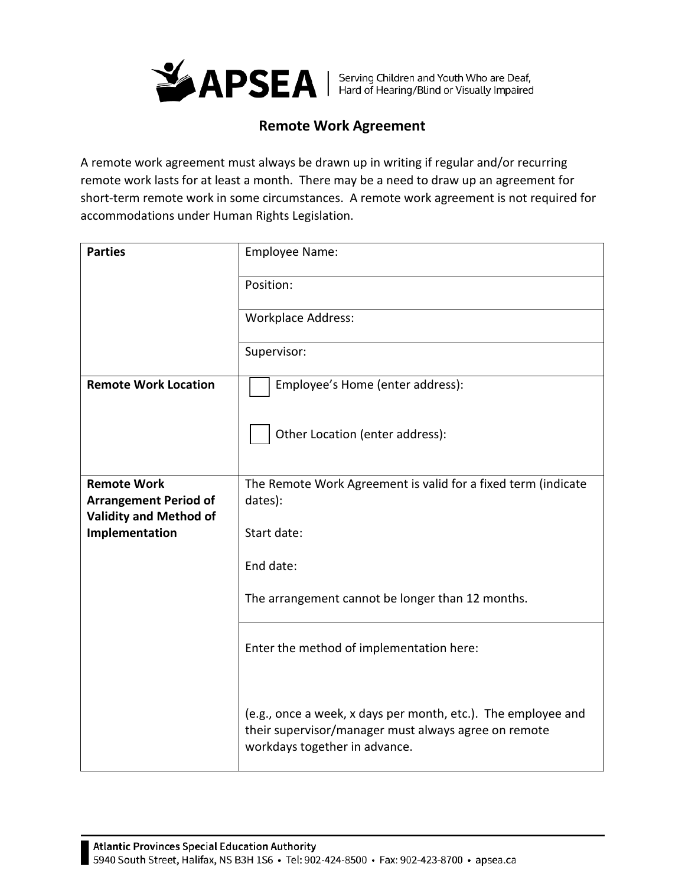

## **Remote Work Agreement**

A remote work agreement must always be drawn up in writing if regular and/or recurring remote work lasts for at least a month. There may be a need to draw up an agreement for short-term remote work in some circumstances. A remote work agreement is not required for accommodations under Human Rights Legislation.

| <b>Parties</b>                                     | Employee Name:                                                                                                                                         |
|----------------------------------------------------|--------------------------------------------------------------------------------------------------------------------------------------------------------|
|                                                    | Position:                                                                                                                                              |
|                                                    | <b>Workplace Address:</b>                                                                                                                              |
|                                                    | Supervisor:                                                                                                                                            |
| <b>Remote Work Location</b>                        | Employee's Home (enter address):                                                                                                                       |
|                                                    | Other Location (enter address):                                                                                                                        |
| <b>Remote Work</b><br><b>Arrangement Period of</b> | The Remote Work Agreement is valid for a fixed term (indicate<br>dates):                                                                               |
| <b>Validity and Method of</b><br>Implementation    | Start date:                                                                                                                                            |
|                                                    | End date:                                                                                                                                              |
|                                                    |                                                                                                                                                        |
|                                                    | The arrangement cannot be longer than 12 months.                                                                                                       |
|                                                    | Enter the method of implementation here:                                                                                                               |
|                                                    | (e.g., once a week, x days per month, etc.). The employee and<br>their supervisor/manager must always agree on remote<br>workdays together in advance. |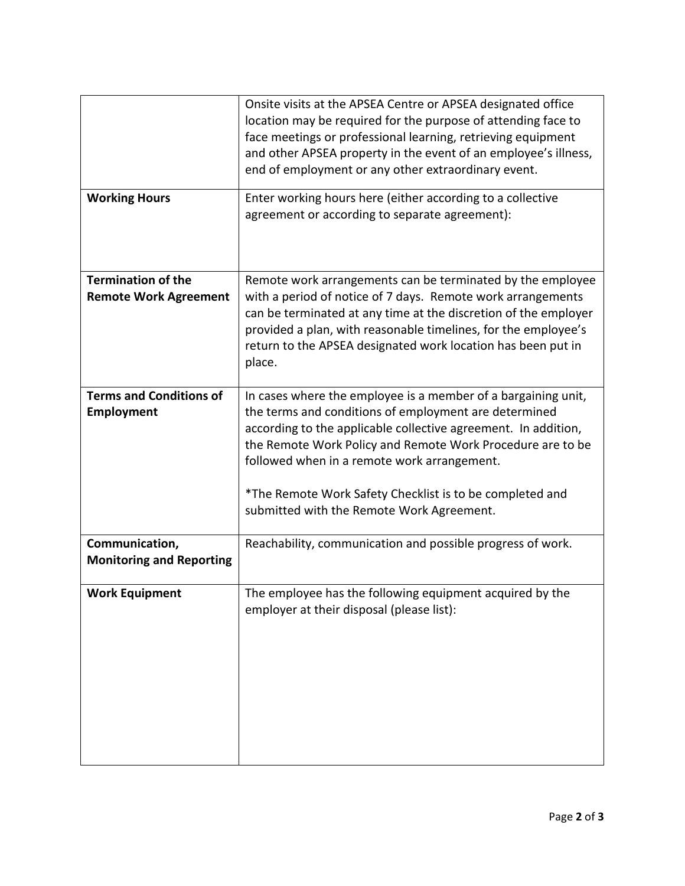|                                                           | Onsite visits at the APSEA Centre or APSEA designated office<br>location may be required for the purpose of attending face to<br>face meetings or professional learning, retrieving equipment<br>and other APSEA property in the event of an employee's illness,<br>end of employment or any other extraordinary event.                                                                                        |
|-----------------------------------------------------------|----------------------------------------------------------------------------------------------------------------------------------------------------------------------------------------------------------------------------------------------------------------------------------------------------------------------------------------------------------------------------------------------------------------|
| <b>Working Hours</b>                                      | Enter working hours here (either according to a collective<br>agreement or according to separate agreement):                                                                                                                                                                                                                                                                                                   |
| <b>Termination of the</b><br><b>Remote Work Agreement</b> | Remote work arrangements can be terminated by the employee<br>with a period of notice of 7 days. Remote work arrangements<br>can be terminated at any time at the discretion of the employer<br>provided a plan, with reasonable timelines, for the employee's<br>return to the APSEA designated work location has been put in<br>place.                                                                       |
| <b>Terms and Conditions of</b><br><b>Employment</b>       | In cases where the employee is a member of a bargaining unit,<br>the terms and conditions of employment are determined<br>according to the applicable collective agreement. In addition,<br>the Remote Work Policy and Remote Work Procedure are to be<br>followed when in a remote work arrangement.<br>*The Remote Work Safety Checklist is to be completed and<br>submitted with the Remote Work Agreement. |
| Communication,<br><b>Monitoring and Reporting</b>         | Reachability, communication and possible progress of work.                                                                                                                                                                                                                                                                                                                                                     |
| <b>Work Equipment</b>                                     | The employee has the following equipment acquired by the<br>employer at their disposal (please list):                                                                                                                                                                                                                                                                                                          |